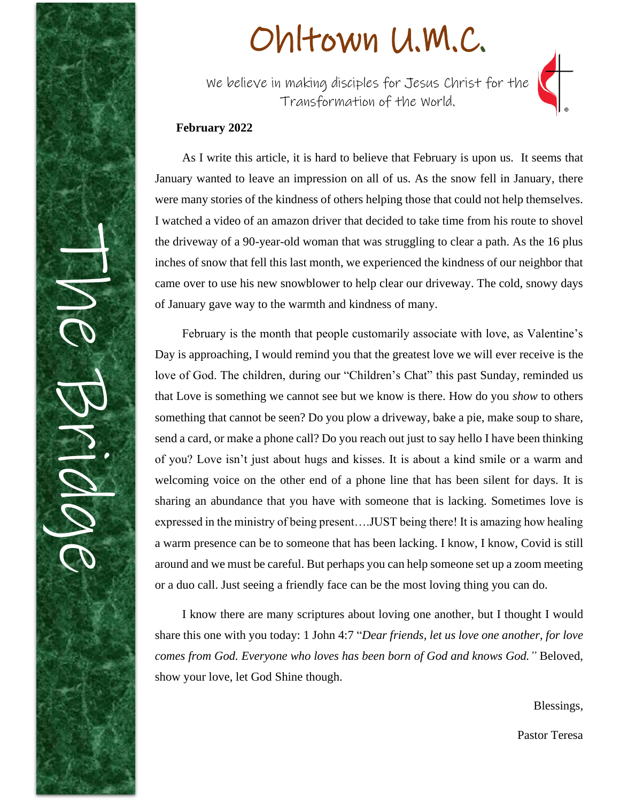

# Ohltown U.M.C.

We believe in making disciples for Jesus Christ for the Transformation of the World.



As I write this article, it is hard to believe that February is upon us. It seems that January wanted to leave an impression on all of us. As the snow fell in January, there were many stories of the kindness of others helping those that could not help themselves. I watched a video of an amazon driver that decided to take time from his route to shovel the driveway of a 90-year-old woman that was struggling to clear a path. As the 16 plus inches of snow that fell this last month, we experienced the kindness of our neighbor that came over to use his new snowblower to help clear our driveway. The cold, snowy days of January gave way to the warmth and kindness of many.

February is the month that people customarily associate with love, as Valentine's Day is approaching, I would remind you that the greatest love we will ever receive is the love of God. The children, during our "Children's Chat" this past Sunday, reminded us that Love is something we cannot see but we know is there. How do you *show* to others something that cannot be seen? Do you plow a driveway, bake a pie, make soup to share, send a card, or make a phone call? Do you reach out just to say hello I have been thinking of you? Love isn't just about hugs and kisses. It is about a kind smile or a warm and welcoming voice on the other end of a phone line that has been silent for days. It is sharing an abundance that you have with someone that is lacking. Sometimes love is expressed in the ministry of being present….JUST being there! It is amazing how healing a warm presence can be to someone that has been lacking. I know, I know, Covid is still around and we must be careful. But perhaps you can help someone set up a zoom meeting or a duo call. Just seeing a friendly face can be the most loving thing you can do.

I know there are many scriptures about loving one another, but I thought I would share this one with you today: 1 John 4:7 "*Dear friends, let us love one another, for love comes from God. Everyone who loves has been born of God and knows God."* Beloved, show your love, let God Shine though.

Blessings,

Pastor Teresa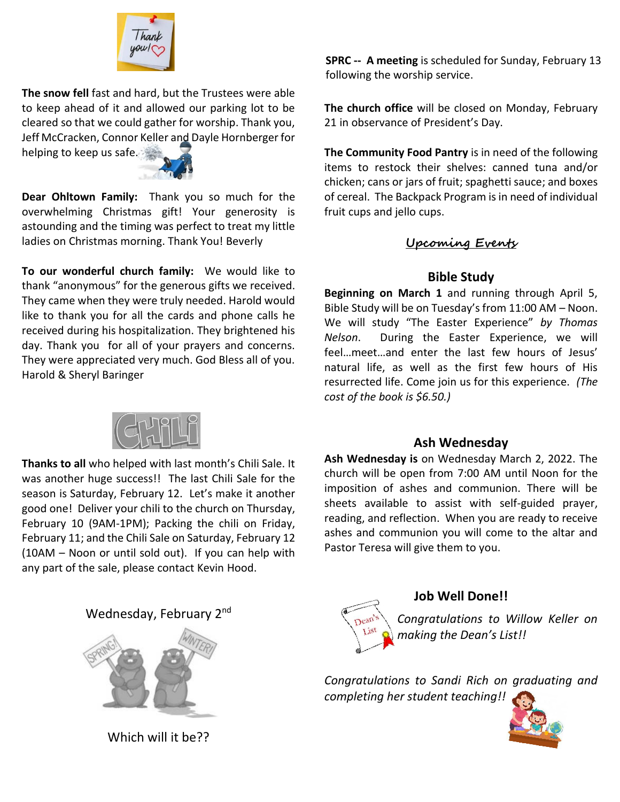

**The snow fell** fast and hard, but the Trustees were able to keep ahead of it and allowed our parking lot to be cleared so that we could gather for worship. Thank you, Jeff McCracken, Connor Keller and Dayle Hornberger for

helping to keep us safe.



**Dear Ohltown Family:** Thank you so much for the overwhelming Christmas gift! Your generosity is astounding and the timing was perfect to treat my little ladies on Christmas morning. Thank You! Beverly

**To our wonderful church family:** We would like to thank "anonymous" for the generous gifts we received. They came when they were truly needed. Harold would like to thank you for all the cards and phone calls he received during his hospitalization. They brightened his day. Thank you for all of your prayers and concerns. They were appreciated very much. God Bless all of you. Harold & Sheryl Baringer

**Thanks to all** who helped with last month's Chili Sale. It was another huge success!! The last Chili Sale for the season is Saturday, February 12. Let's make it another good one! Deliver your chili to the church on Thursday, February 10 (9AM-1PM); Packing the chili on Friday, February 11; and the Chili Sale on Saturday, February 12 (10AM – Noon or until sold out). If you can help with any part of the sale, please contact Kevin Hood.

# Wednesday, February 2<sup>nd</sup>



Which will it be??

**SPRC -- A meeting** is scheduled for Sunday, February 13 following the worship service.

**The church office** will be closed on Monday, February 21 in observance of President's Day.

**The Community Food Pantry** is in need of the following items to restock their shelves: canned tuna and/or chicken; cans or jars of fruit; spaghetti sauce; and boxes of cereal. The Backpack Program is in need of individual fruit cups and jello cups.

## **Upcoming Events**

## **Bible Study**

**Beginning on March 1** and running through April 5, Bible Study will be on Tuesday's from 11:00 AM – Noon. We will study "The Easter Experience" *by Thomas Nelson*. During the Easter Experience, we will feel…meet…and enter the last few hours of Jesus' natural life, as well as the first few hours of His resurrected life. Come join us for this experience. *(The cost of the book is \$6.50.)*

#### **Ash Wednesday**

**Ash Wednesday is** on Wednesday March 2, 2022. The church will be open from 7:00 AM until Noon for the imposition of ashes and communion. There will be sheets available to assist with self-guided prayer, reading, and reflection. When you are ready to receive ashes and communion you will come to the altar and Pastor Teresa will give them to you.



# **Job Well Done!!**

*Congratulations to Willow Keller on making the Dean's List!!*

*Congratulations to Sandi Rich on graduating and completing her student teaching!!*

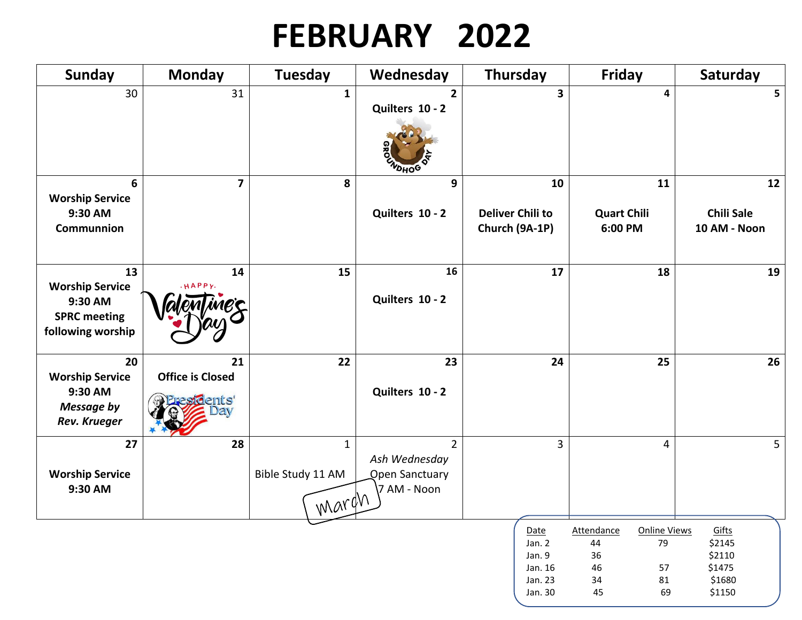# **FEBRUARY 2022**

| Sunday                                                                              | <b>Monday</b>                          | Tuesday                                    | Wednesday                                                               | Thursday                                                  | <b>Friday</b>                                                                           | Saturday                                                |
|-------------------------------------------------------------------------------------|----------------------------------------|--------------------------------------------|-------------------------------------------------------------------------|-----------------------------------------------------------|-----------------------------------------------------------------------------------------|---------------------------------------------------------|
| 30                                                                                  | 31                                     | $\mathbf{1}$                               | $\overline{2}$<br>Quilters 10 - 2<br>VOHOG                              | $\overline{\mathbf{3}}$                                   | 4                                                                                       | 5                                                       |
| 6<br><b>Worship Service</b><br>9:30 AM<br>Communnion                                | $\overline{\mathbf{z}}$                | 8                                          | 9<br>Quilters 10 - 2                                                    | 10<br><b>Deliver Chili to</b><br>Church (9A-1P)           | 11<br><b>Quart Chili</b><br>6:00 PM                                                     | 12<br><b>Chili Sale</b><br>10 AM - Noon                 |
| 13<br><b>Worship Service</b><br>9:30 AM<br><b>SPRC meeting</b><br>following worship | 14<br>HAPPY.                           | 15                                         | 16<br>Quilters 10 - 2                                                   | 17                                                        | 18                                                                                      | 19                                                      |
| 20<br><b>Worship Service</b><br>9:30 AM<br><b>Message by</b><br><b>Rev. Krueger</b> | 21<br><b>Office is Closed</b><br>ents' | 22                                         | 23<br>Quilters 10 - 2                                                   | 24                                                        | 25                                                                                      | 26                                                      |
| 27<br><b>Worship Service</b><br>9:30 AM                                             | 28                                     | $\mathbf{1}$<br>Bible Study 11 AM<br>marqn | $\overline{2}$<br>Ash Wednesday<br><b>Open Sanctuary</b><br>7 AM - Noon | 3                                                         | 4                                                                                       | 5                                                       |
|                                                                                     |                                        |                                            |                                                                         | Date<br>Jan. 2<br>Jan. 9<br>Jan. 16<br>Jan. 23<br>Jan. 30 | <b>Online Views</b><br>Attendance<br>44<br>79<br>36<br>46<br>57<br>81<br>34<br>45<br>69 | Gifts<br>\$2145<br>\$2110<br>\$1475<br>\$1680<br>\$1150 |